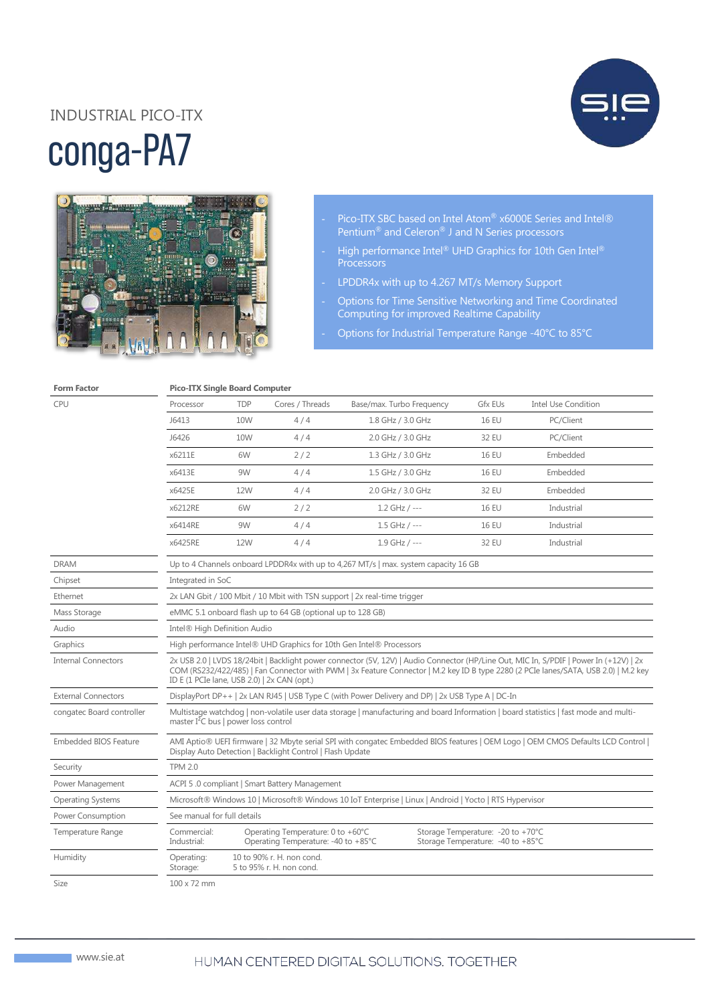# conga-PA7 INDUSTRIAL PICO-ITX





- Pico-ITX SBC based on Intel Atom® x6000E Series and Intel® Pentium® and Celeron® J and N Series processors
- High performance Intel® UHD Graphics for 10th Gen Intel® **Processors**
- LPDDR4x with up to 4.267 MT/s Memory Support
- Options for Time Sensitive Networking and Time Coordinated Computing for improved Realtime Capability
	- Options for Industrial Temperature Range -40°C to 85°C

#### **Form Factor Pico-ITX Single Board Computer**

| CPU                          | Processor                                                                                                                                                                                                                                                                                                                    | <b>TDP</b> | Cores / Threads                                                          | Base/max. Turbo Frequency | Gfx EUs                                                                 | <b>Intel Use Condition</b> |
|------------------------------|------------------------------------------------------------------------------------------------------------------------------------------------------------------------------------------------------------------------------------------------------------------------------------------------------------------------------|------------|--------------------------------------------------------------------------|---------------------------|-------------------------------------------------------------------------|----------------------------|
|                              | J6413                                                                                                                                                                                                                                                                                                                        | 10W        | 4/4                                                                      | 1.8 GHz / 3.0 GHz         | <b>16 EU</b>                                                            | PC/Client                  |
|                              | J6426                                                                                                                                                                                                                                                                                                                        | 10W        | 4/4                                                                      | 2.0 GHz / 3.0 GHz         | 32 EU                                                                   | PC/Client                  |
|                              | x6211E                                                                                                                                                                                                                                                                                                                       | 6W         | 2/2                                                                      | 1.3 GHz / 3.0 GHz         | <b>16 EU</b>                                                            | Embedded                   |
|                              | x6413E                                                                                                                                                                                                                                                                                                                       | 9W         | 4/4                                                                      | 1.5 GHz / 3.0 GHz         | <b>16 EU</b>                                                            | Embedded                   |
|                              | x6425E                                                                                                                                                                                                                                                                                                                       | 12W        | 4/4                                                                      | 2.0 GHz / 3.0 GHz         | 32 EU                                                                   | Embedded                   |
|                              | x6212RE                                                                                                                                                                                                                                                                                                                      | 6W         | 2/2                                                                      | $1.2$ GHz / ---           | <b>16 EU</b>                                                            | Industrial                 |
|                              | x6414RE                                                                                                                                                                                                                                                                                                                      | 9W         | 4/4                                                                      | $1.5$ GHz / ---           | <b>16 EU</b>                                                            | Industrial                 |
|                              | x6425RE                                                                                                                                                                                                                                                                                                                      | 12W        | 4/4                                                                      | $1.9$ GHz / ---           | 32 EU                                                                   | Industrial                 |
| <b>DRAM</b>                  | Up to 4 Channels onboard LPDDR4x with up to 4,267 MT/s   max. system capacity 16 GB                                                                                                                                                                                                                                          |            |                                                                          |                           |                                                                         |                            |
| Chipset                      | Integrated in SoC                                                                                                                                                                                                                                                                                                            |            |                                                                          |                           |                                                                         |                            |
| Ethernet                     | 2x LAN Gbit / 100 Mbit / 10 Mbit with TSN support 2x real-time trigger                                                                                                                                                                                                                                                       |            |                                                                          |                           |                                                                         |                            |
| Mass Storage                 | eMMC 5.1 onboard flash up to 64 GB (optional up to 128 GB)                                                                                                                                                                                                                                                                   |            |                                                                          |                           |                                                                         |                            |
| Audio                        | Intel® High Definition Audio                                                                                                                                                                                                                                                                                                 |            |                                                                          |                           |                                                                         |                            |
| Graphics                     | High performance Intel® UHD Graphics for 10th Gen Intel® Processors                                                                                                                                                                                                                                                          |            |                                                                          |                           |                                                                         |                            |
| <b>Internal Connectors</b>   | 2x USB 2.0   LVDS 18/24bit   Backlight power connector (5V, 12V)   Audio Connector (HP/Line Out, MIC In, S/PDIF   Power In (+12V)   2x<br>COM (RS232/422/485)   Fan Connector with PWM   3x Feature Connector   M.2 key ID B type 2280 (2 PCIe lanes/SATA, USB 2.0)   M.2 key<br>ID E (1 PCIe lane, USB 2.0)   2x CAN (opt.) |            |                                                                          |                           |                                                                         |                            |
| <b>External Connectors</b>   | DisplayPort DP++   2x LAN RJ45   USB Type C (with Power Delivery and DP)   2x USB Type A   DC-In                                                                                                                                                                                                                             |            |                                                                          |                           |                                                                         |                            |
| congatec Board controller    | Multistage watchdog   non-volatile user data storage   manufacturing and board Information   board statistics   fast mode and multi-<br>master I <sup>2</sup> C bus   power loss control                                                                                                                                     |            |                                                                          |                           |                                                                         |                            |
| <b>Embedded BIOS Feature</b> | AMI Aptio® UEFI firmware   32 Mbyte serial SPI with congatec Embedded BIOS features   OEM Logo   OEM CMOS Defaults LCD Control  <br>Display Auto Detection   Backlight Control   Flash Update                                                                                                                                |            |                                                                          |                           |                                                                         |                            |
| Security                     | <b>TPM 2.0</b>                                                                                                                                                                                                                                                                                                               |            |                                                                          |                           |                                                                         |                            |
| Power Management             | ACPI 5.0 compliant   Smart Battery Management                                                                                                                                                                                                                                                                                |            |                                                                          |                           |                                                                         |                            |
| <b>Operating Systems</b>     | Microsoft® Windows 10   Microsoft® Windows 10 IoT Enterprise   Linux   Android   Yocto   RTS Hypervisor                                                                                                                                                                                                                      |            |                                                                          |                           |                                                                         |                            |
| Power Consumption            | See manual for full details                                                                                                                                                                                                                                                                                                  |            |                                                                          |                           |                                                                         |                            |
| Temperature Range            | Commercial:<br>Industrial:                                                                                                                                                                                                                                                                                                   |            | Operating Temperature: 0 to +60°C<br>Operating Temperature: -40 to +85°C |                           | Storage Temperature: - 20 to +70°C<br>Storage Temperature: -40 to +85°C |                            |
| Humidity                     | Operating:<br>Storage:                                                                                                                                                                                                                                                                                                       |            | 10 to 90% r. H. non cond.<br>5 to 95% r. H. non cond.                    |                           |                                                                         |                            |
| <b>Size</b>                  | $100 \times 72$ mm                                                                                                                                                                                                                                                                                                           |            |                                                                          |                           |                                                                         |                            |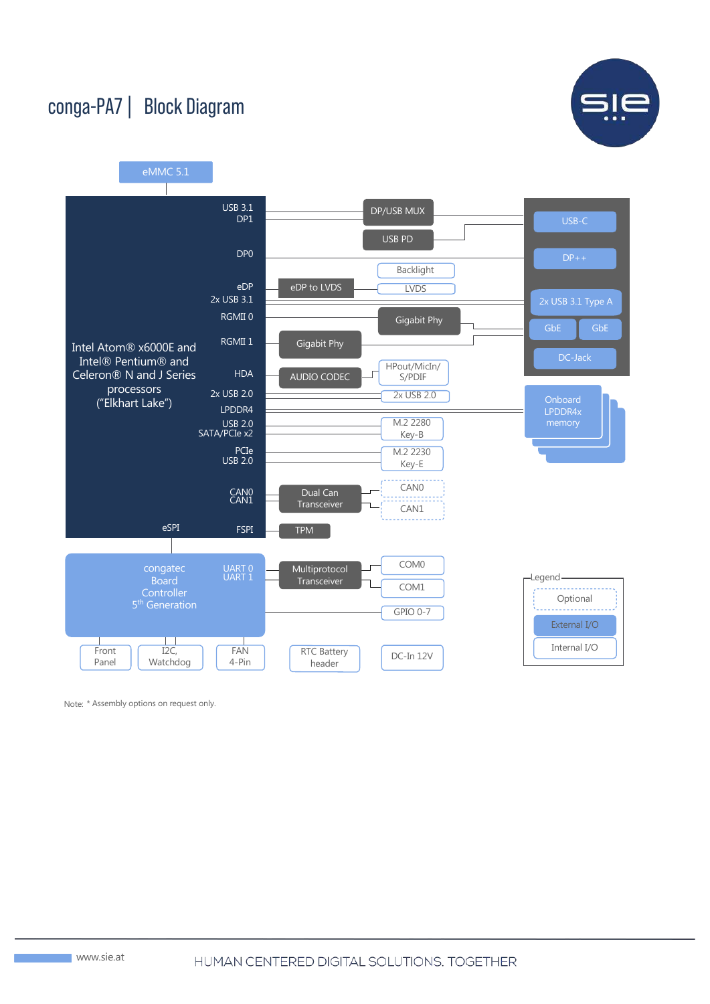

### conga-PA7 | Block Diagram



Note: \* Assembly options on request only.